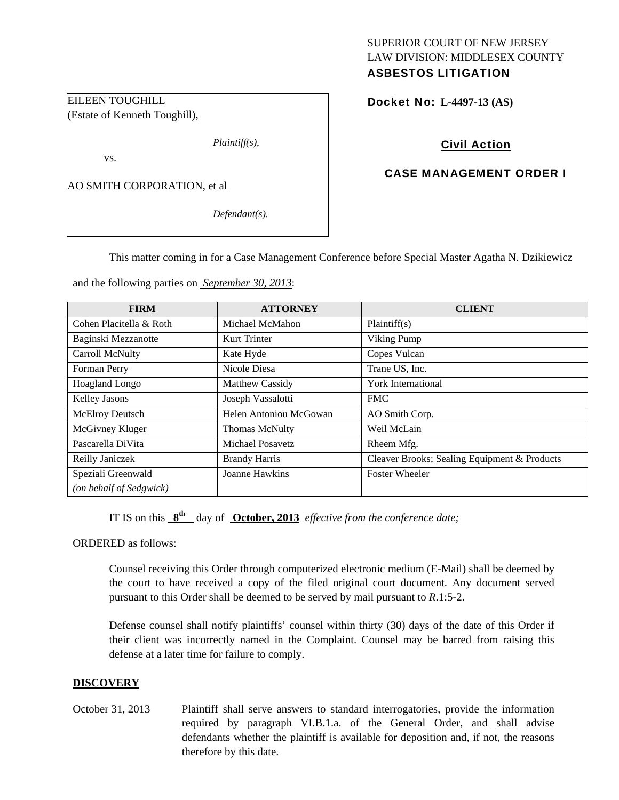# SUPERIOR COURT OF NEW JERSEY LAW DIVISION: MIDDLESEX COUNTY

## ASBESTOS LITIGATION

Docket No: **L-4497-13 (AS)** 

## Civil Action

## CASE MANAGEMENT ORDER I

AO SMITH CORPORATION, et al

*Defendant(s).* 

*Plaintiff(s),* 

This matter coming in for a Case Management Conference before Special Master Agatha N. Dzikiewicz

and the following parties on *September 30, 2013*:

| <b>FIRM</b>             | <b>ATTORNEY</b>        | <b>CLIENT</b>                                |
|-------------------------|------------------------|----------------------------------------------|
| Cohen Placitella & Roth | Michael McMahon        | Plaintiff(s)                                 |
| Baginski Mezzanotte     | Kurt Trinter           | Viking Pump                                  |
| Carroll McNulty         | Kate Hyde              | Copes Vulcan                                 |
| Forman Perry            | Nicole Diesa           | Trane US, Inc.                               |
| <b>Hoagland Longo</b>   | Matthew Cassidy        | <b>York International</b>                    |
| Kelley Jasons           | Joseph Vassalotti      | <b>FMC</b>                                   |
| McElroy Deutsch         | Helen Antoniou McGowan | AO Smith Corp.                               |
| McGivney Kluger         | <b>Thomas McNulty</b>  | Weil McLain                                  |
| Pascarella DiVita       | Michael Posavetz       | Rheem Mfg.                                   |
| Reilly Janiczek         | <b>Brandy Harris</b>   | Cleaver Brooks; Sealing Equipment & Products |
| Speziali Greenwald      | Joanne Hawkins         | <b>Foster Wheeler</b>                        |
| (on behalf of Sedgwick) |                        |                                              |

IT IS on this **8th** day of **October, 2013** *effective from the conference date;*

ORDERED as follows:

Counsel receiving this Order through computerized electronic medium (E-Mail) shall be deemed by the court to have received a copy of the filed original court document. Any document served pursuant to this Order shall be deemed to be served by mail pursuant to *R*.1:5-2.

Defense counsel shall notify plaintiffs' counsel within thirty (30) days of the date of this Order if their client was incorrectly named in the Complaint. Counsel may be barred from raising this defense at a later time for failure to comply.

## **DISCOVERY**

October 31, 2013 Plaintiff shall serve answers to standard interrogatories, provide the information required by paragraph VI.B.1.a. of the General Order, and shall advise defendants whether the plaintiff is available for deposition and, if not, the reasons therefore by this date.

EILEEN TOUGHILL (Estate of Kenneth Toughill),

vs.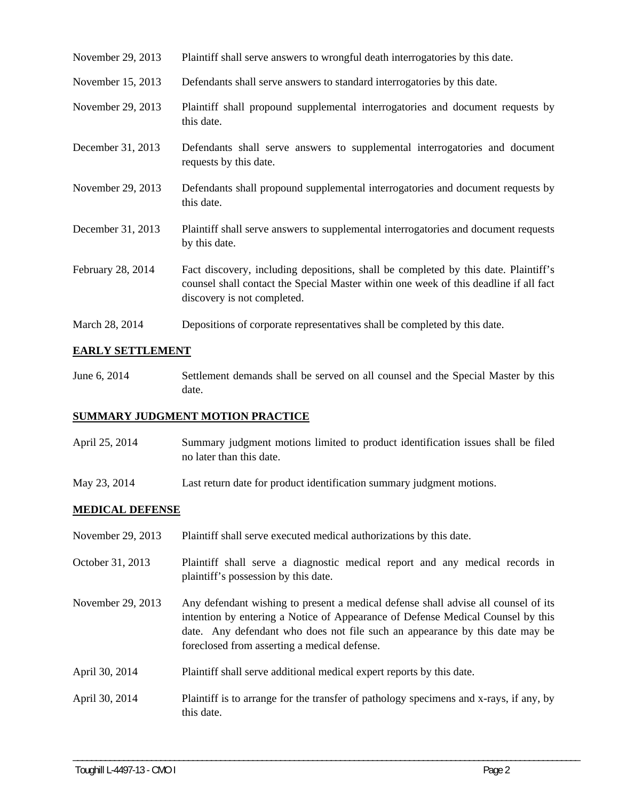- November 29, 2013 Plaintiff shall serve answers to wrongful death interrogatories by this date.
- November 15, 2013 Defendants shall serve answers to standard interrogatories by this date.
- November 29, 2013 Plaintiff shall propound supplemental interrogatories and document requests by this date.
- December 31, 2013 Defendants shall serve answers to supplemental interrogatories and document requests by this date.
- November 29, 2013 Defendants shall propound supplemental interrogatories and document requests by this date.
- December 31, 2013 Plaintiff shall serve answers to supplemental interrogatories and document requests by this date.
- February 28, 2014 Fact discovery, including depositions, shall be completed by this date. Plaintiff's counsel shall contact the Special Master within one week of this deadline if all fact discovery is not completed.
- March 28, 2014 Depositions of corporate representatives shall be completed by this date.

#### **EARLY SETTLEMENT**

June 6, 2014 Settlement demands shall be served on all counsel and the Special Master by this date.

#### **SUMMARY JUDGMENT MOTION PRACTICE**

- April 25, 2014 Summary judgment motions limited to product identification issues shall be filed no later than this date.
- May 23, 2014 Last return date for product identification summary judgment motions.

#### **MEDICAL DEFENSE**

| November 29, 2013 | Plaintiff shall serve executed medical authorizations by this date.                                                                                                                                                                                                                                   |
|-------------------|-------------------------------------------------------------------------------------------------------------------------------------------------------------------------------------------------------------------------------------------------------------------------------------------------------|
| October 31, 2013  | Plaintiff shall serve a diagnostic medical report and any medical records in<br>plaintiff's possession by this date.                                                                                                                                                                                  |
| November 29, 2013 | Any defendant wishing to present a medical defense shall advise all counsel of its<br>intention by entering a Notice of Appearance of Defense Medical Counsel by this<br>date. Any defendant who does not file such an appearance by this date may be<br>foreclosed from asserting a medical defense. |
| April 30, 2014    | Plaintiff shall serve additional medical expert reports by this date.                                                                                                                                                                                                                                 |
| April 30, 2014    | Plaintiff is to arrange for the transfer of pathology specimens and x-rays, if any, by<br>this date.                                                                                                                                                                                                  |

\_\_\_\_\_\_\_\_\_\_\_\_\_\_\_\_\_\_\_\_\_\_\_\_\_\_\_\_\_\_\_\_\_\_\_\_\_\_\_\_\_\_\_\_\_\_\_\_\_\_\_\_\_\_\_\_\_\_\_\_\_\_\_\_\_\_\_\_\_\_\_\_\_\_\_\_\_\_\_\_\_\_\_\_\_\_\_\_\_\_\_\_\_\_\_\_\_\_\_\_\_\_\_\_\_\_\_\_\_\_